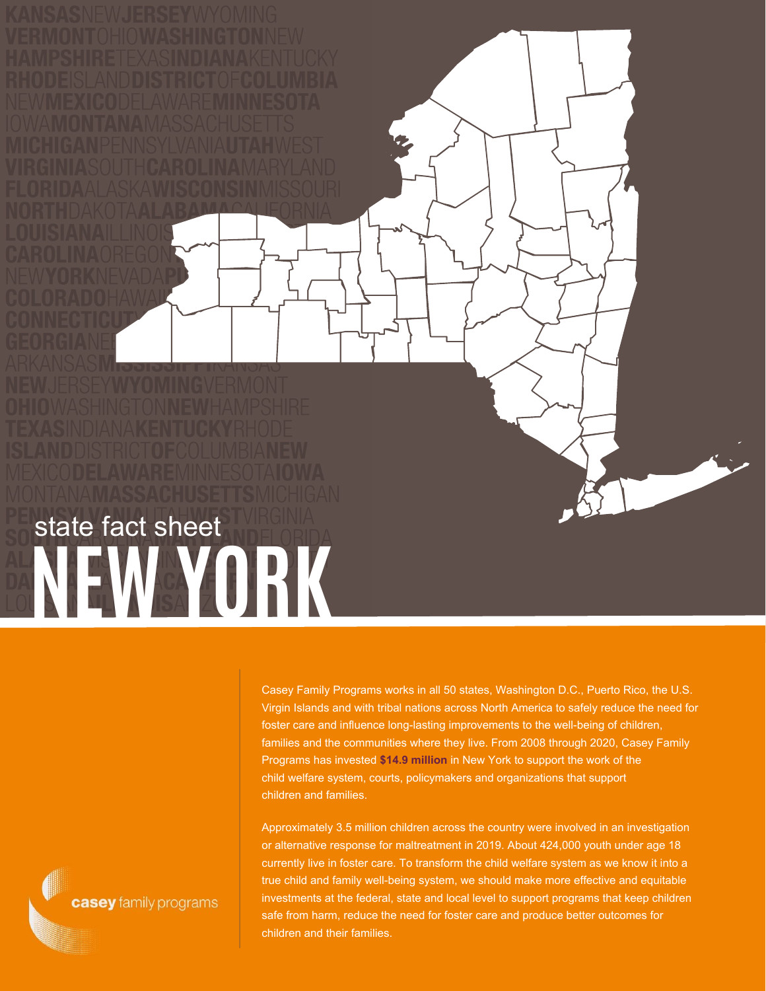**NEW YORK** state fact sheet

> Casey Family Programs works in all 50 states, Washington D.C., Puerto Rico, the U.S. Virgin Islands and with tribal nations across North America to safely reduce the need for foster care and influence long-lasting improvements to the well-being of children, families and the communities where they live. From 2008 through 2020, Casey Family Programs has invested **\$14.9 million** in New York to support the work of the child welfare system, courts, policymakers and organizations that support children and families.

Approximately 3.5 million children across the country were involved in an investigation or alternative response for maltreatment in 2019. About 424,000 youth under age 18 currently live in foster care. To transform the child welfare system as we know it into a true child and family well-being system, we should make more effective and equitable investments at the federal, state and local level to support programs that keep children safe from harm, reduce the need for foster care and produce better outcomes for children and their families.

casey family programs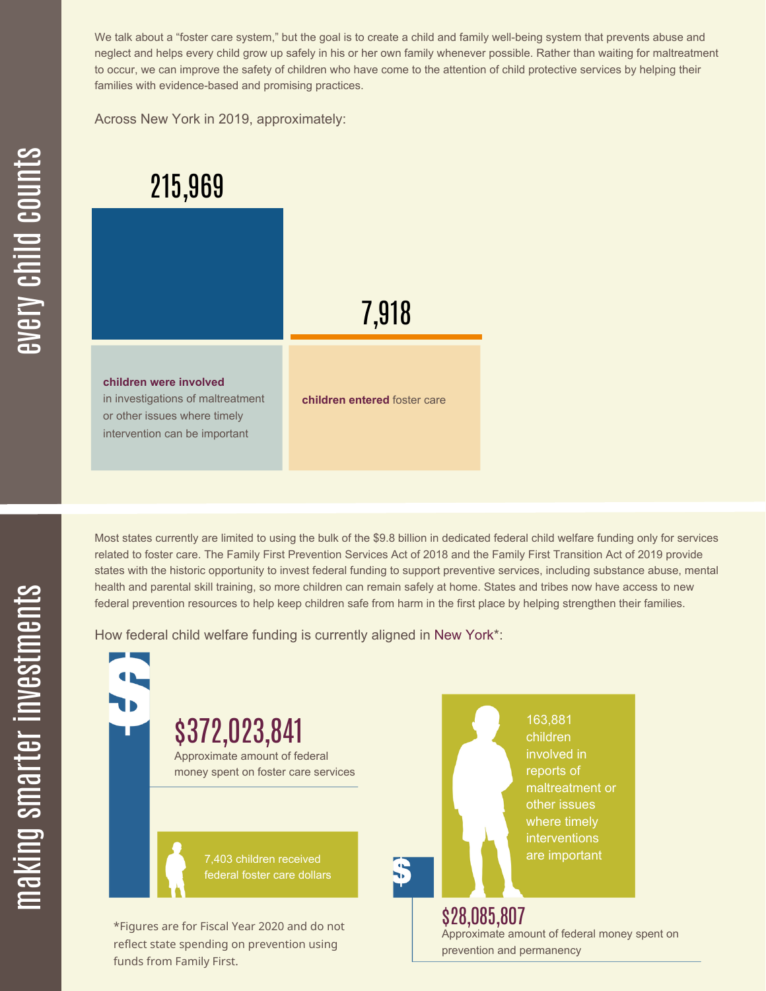We talk about a "foster care system," but the goal is to create a child and family well-being system that prevents abuse and neglect and helps every child grow up safely in his or her own family whenever possible. Rather than waiting for maltreatment to occur, we can improve the safety of children who have come to the attention of child protective services by helping their families with evidence-based and promising practices.

Across New York in 2019, approximately:

## 215,969 7,918 **children were involved** in investigations of maltreatment or other issues where timely intervention can be important **children entered** foster care

Most states currently are limited to using the bulk of the \$9.8 billion in dedicated federal child welfare funding only for services related to foster care. The Family First Prevention Services Act of 2018 and the Family First Transition Act of 2019 provide states with the historic opportunity to invest federal funding to support preventive services, including substance abuse, mental health and parental skill training, so more children can remain safely at home. States and tribes now have access to new federal prevention resources to help keep children safe from harm in the first place by helping strengthen their families.

How federal child welfare funding is currently aligned in New York\*:

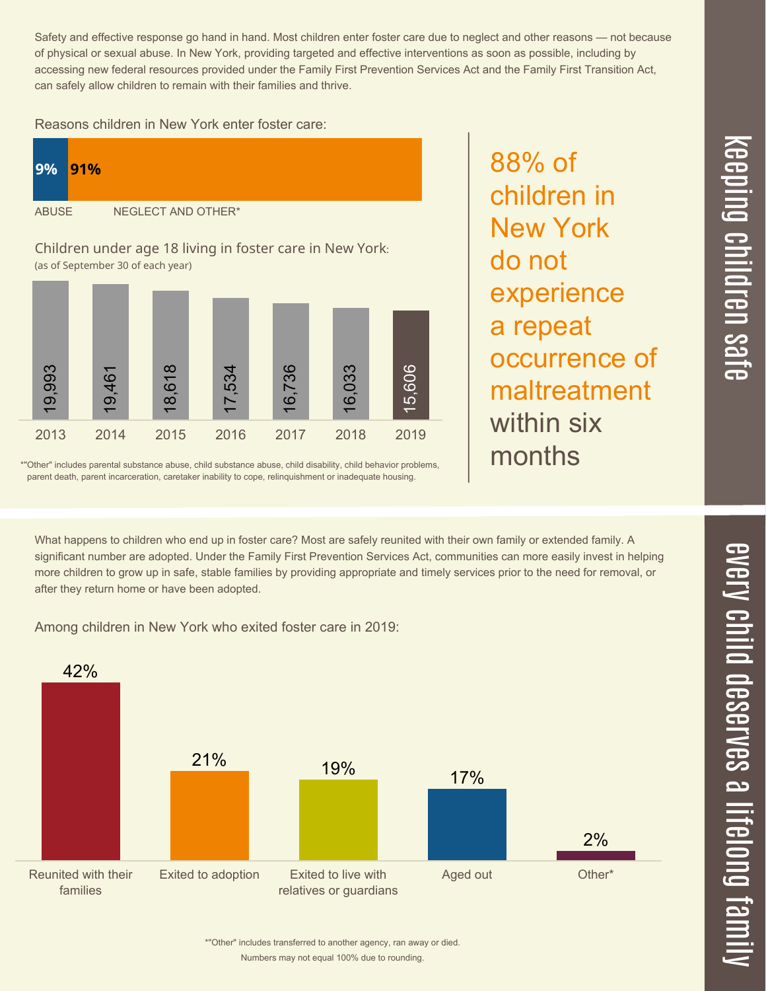Safety and effective response go hand in hand. Most children enter foster care due to neglect and other reasons — not because of physical or sexual abuse. In New York, providing targeted and effective interventions as soon as possible, including by accessing new federal resources provided under the Family First Prevention Services Act and the Family First Transition Act, can safely allow children to remain with their families and thrive.

88% of

do not

children in

New York

experience

occurrence of

maltreatment

a repeat

within six

months

Reasons children in New York enter foster care:





\*"Other" includes parental substance abuse, child substance abuse, child disability, child behavior problems, parent death, parent incarceration, caretaker inability to cope, relinquishment or inadequate housing.

What happens to children who end up in foster care? Most are safely reunited with their own family or extended family. A significant number are adopted. Under the Family First Prevention Services Act, communities can more easily invest in helping more children to grow up in safe, stable families by providing appropriate and timely services prior to the need for removal, or after they return home or have been adopted.

Among children in New York who exited foster care in 2019:



 $\overline{\mathbf{C}}$  $\leq$  $\overline{\mathbf{C}}$  $\overline{\mathsf{Z}}$  $\overline{\mathbf{C}}$ 

 $\equiv$ 

 $\blacksquare$  $\overline{\mathbf{C}}$  $\mathcal{C}$  $\overline{\mathbf{C}}$  $\overline{\phantom{a}}$  $\overline{\mathbf{C}}$  $\mathcal{C}$ <u>م</u>

 $\equiv$ 

el<br>O  $\overline{\phantom{0}}$  $\blacksquare$ 

t<br>B

mily

Numbers may not equal 100% due to rounding. \*"Other" includes transferred to another agency, ran away or died.